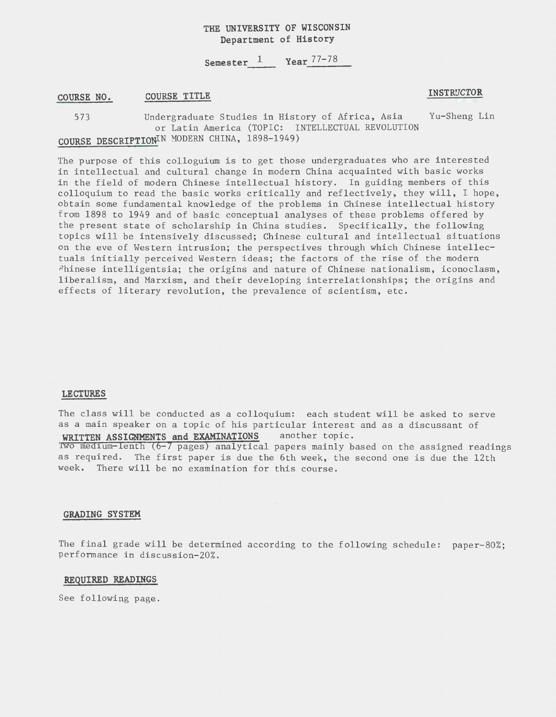# **THE UNIVERSITY OF WISCONSIN Department of History**

**Semester\_1 \_\_ Year** 77-78

#### **COURSE NO. COURSE TITLE** *INSTRUCTOR*

573 Undergraduate Studies in History of Africa, Asia Yu-Sheng Lin or Latin America (TOPIC: INTELLECTUAL REVOLUTION **COURSE DESCRIPTIONIN** MODERN CHINA, 1898-1949)

The purpose of this colloguium is to get those undergraduates who are interested in intellectual and cultural change in modern China acquainted with basic works in the field of modern Chinese intellectual history. In guiding members of this colloquium to read the basic works critically and reflectively, they will, I hope, obtain some fundamental knowledge of the problems in Chinese intellectual history from 1898 to 1949 and of basic conceptual analyses of these problems offered by the present state of scholarship in China studies. Specifically, the following topics will be intensively discussed; Chinese cultural and intellectual situations on the eve of Western intrusion; the perspectives through which Chinese intellectuals initially perceived Western ideas; the factors of the rise of the modern hinese intelligentsia; the origins and nature of Chinese nationalism, iconoclasm, liberalism, and Marxism, and their developing interrelationships; the origins and effects of literary revolution, the prevalence of scientism, etc.

## **LECTURES**

The class will be conducted as a colloquium: each student will be asked to serve as a main speaker on a topic of his particular interest and as a discussant of **WRITTEN ASSIGNMENTS and EXAMINATIONS** another topic.

rwo med1um lenth (6 **7** pages) analytical papers mainly based on the assigned readings as required. The first paper is due the 6th week, the second one is due the 12th week. There will be no examination for this course.

#### **GRADING SYSTEM**

The final grade will be determined according to the following schedule: paper-80%; performance in discussion-20%.

### **REQUIRED READINGS**

See following page.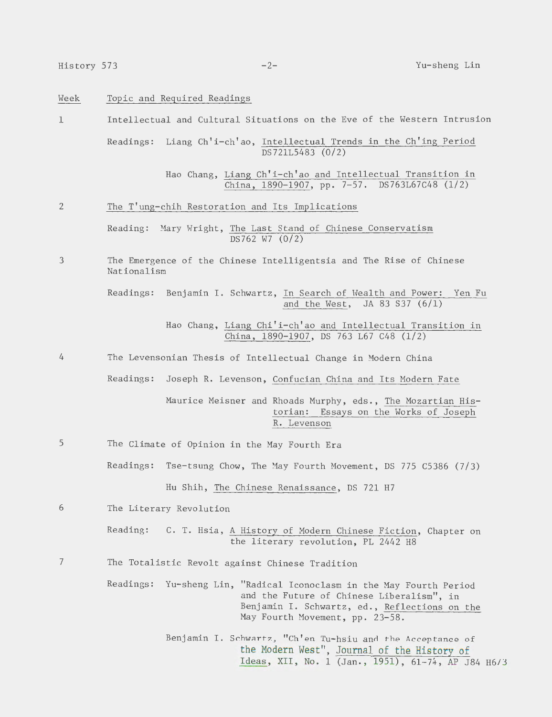| Week           | Topic and Required Readings                                                                                                                                                                              |        |  |  |  |  |
|----------------|----------------------------------------------------------------------------------------------------------------------------------------------------------------------------------------------------------|--------|--|--|--|--|
| 1              | Intellectual and Cultural Situations on the Eve of the Western Intrusion                                                                                                                                 |        |  |  |  |  |
|                | Readings: Liang Ch'i-ch'ao, Intellectual Trends in the Ch'ing Period<br>DS721L5483 (0/2)                                                                                                                 |        |  |  |  |  |
|                | Hao Chang, Liang Ch'i-ch'ao and Intellectual Transition in<br>China, 1890-1907, pp. 7-57. DS763L67C48 (1/2)                                                                                              |        |  |  |  |  |
| $\overline{2}$ | The T'ung-chih Restoration and Its Implications                                                                                                                                                          |        |  |  |  |  |
|                | Reading: Mary Wright, The Last Stand of Chinese Conservatism<br>DS762 W7 (0/2)                                                                                                                           |        |  |  |  |  |
| 3              | The Emergence of the Chinese Intelligentsia and The Rise of Chinese<br>Nationalism                                                                                                                       |        |  |  |  |  |
|                | Readings: Benjamin I. Schwartz, In Search of Wealth and Power:<br>and the West, JA 83 S37 (6/1)                                                                                                          | Yen Fu |  |  |  |  |
|                | Hao Chang, Liang Chi'i-ch'ao and Intellectual Transition in<br>China, 1890-1907, DS 763 L67 C48 (1/2)                                                                                                    |        |  |  |  |  |
| 4              | The Levensonian Thesis of Intellectual Change in Modern China                                                                                                                                            |        |  |  |  |  |
|                | Readings:<br>Joseph R. Levenson, Confucian China and Its Modern Fate                                                                                                                                     |        |  |  |  |  |
|                | Maurice Meisner and Rhoads Murphy, eds., The Mozartian His-<br>torian: Essays on the Works of Joseph<br>R. Levenson                                                                                      |        |  |  |  |  |
| 5              | The Climate of Opinion in the May Fourth Era                                                                                                                                                             |        |  |  |  |  |
|                | Readings: Tse-tsung Chow, The May Fourth Movement, DS 775 C5386 (7/3)                                                                                                                                    |        |  |  |  |  |
|                | Hu Shih, The Chinese Renaissance, DS 721 H7                                                                                                                                                              |        |  |  |  |  |
| 6              | The Literary Revolution                                                                                                                                                                                  |        |  |  |  |  |
|                | Reading:<br>C. T. Hsia, A History of Modern Chinese Fiction, Chapter on<br>the literary revolution, PL 2442 H8                                                                                           |        |  |  |  |  |
| 7              | The Totalistic Revolt against Chinese Tradition                                                                                                                                                          |        |  |  |  |  |
|                | Readings:<br>Yu-sheng Lin, "Radical Iconoclasm in the May Fourth Period<br>and the Future of Chinese Liberalism", in<br>Benjamin I. Schwartz, ed., Reflections on the<br>May Fourth Movement, pp. 23-58. |        |  |  |  |  |

Benjamin I. Schwartz, "Ch'en Tu-hsiu and the Acceptance of the Modern West", Journal of the History of Ideas, XII, No. 1 (Jan., 1951), 61-74, AP J84 H673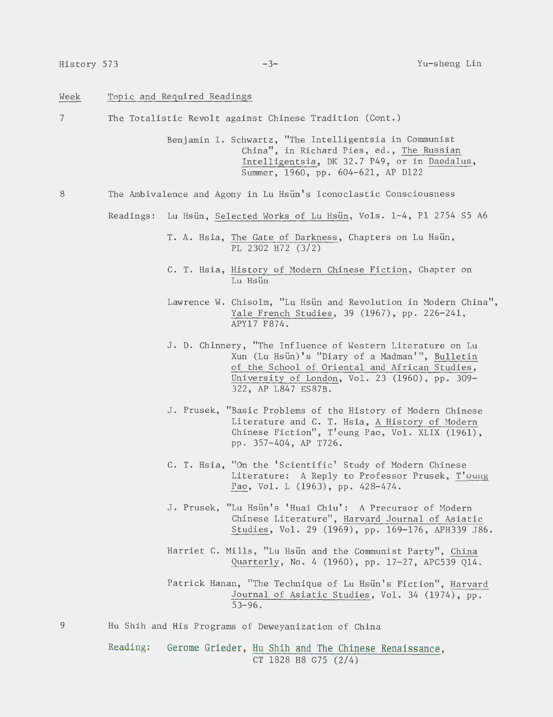#### Week Topic and Required Readings

7 The Totalistic Revolt against Chinese Tradition (Cont.)

> Benjamin I. Schwartz, "The Intelligentsia in Communist China", in Richard Pies, ed., The Russian Intelligentsia, DK 32.7 P49, or in Daedalus, Summer, 1960, pp. 604-621, AP Dl22

8 The Ambivalence and Agony in Lu Hsun's Iconoclastic Consciousness

Readings: Lu Hsün, Selected Works of Lu Hsün, Vols. 1-4, P1 2754 S5 A6

T. A. Hsia, The Gate of Darkness, Chapters on Lu Hsun, PL 2302 H72 (3/2)

- C. T. Hsia, History of Modern Chinese Fiction, Chapter on Lu Hsün
- Lawrence W. Chisolm, "Lu Hsün and Revolution in Modern China", Yale French Studies, 39 (1967), pp. 226-241, APY17 F874.
- J. D. Chinnery, "The Influence of Western Literature on Lu Xun (Lu Hslin)'s "Diary of a Madman'", Bulletin of the School of Oriental and African Studies, University of London, Vol. 23 (1960), pp. 309- 322, AP L847 ES87B.
- J. Prusek, "Basic Problems of the History of Modern Chinese Literature and C. T. Hsia, A History of Modern Chinese Fiction", T' oung Pao, Vol. XLIX (1961), pp. 357-404, AP T726.
- C. T. Hsia, "On the 'Scientific' Study of Modern Chinese Literature: A Reply to Professor Prusek, T'oung Pao, Vol. L (1963), pp. 428-474.
- J. Prusek, "Lu Hsün's 'Huai Chiu': A Precursor of Modern Chinese Literature", Harvard Journal of Asiatic Studies, Vol. 29 (1969), pp. 169-176, APH339 J86.
- Harriet C. Mills, "Lu Hsun and the Communist Party", China Quarterly, No. 4 (1960), pp. 17-27, APC539 Ql4.
- Patrick Hanan, "The Technique of Lu Hsun's Fiction", Harvard Journal of Asiatic Studies, Vol. 34 (1974), pp.  $53 - 96$ .
- Hu Shih and His Programs of Deweyanization of China

Reading: Gerome Grieder, Hu Shih and The Chinese Renaissance, CT 1828 H8 G75 (2/4)

9